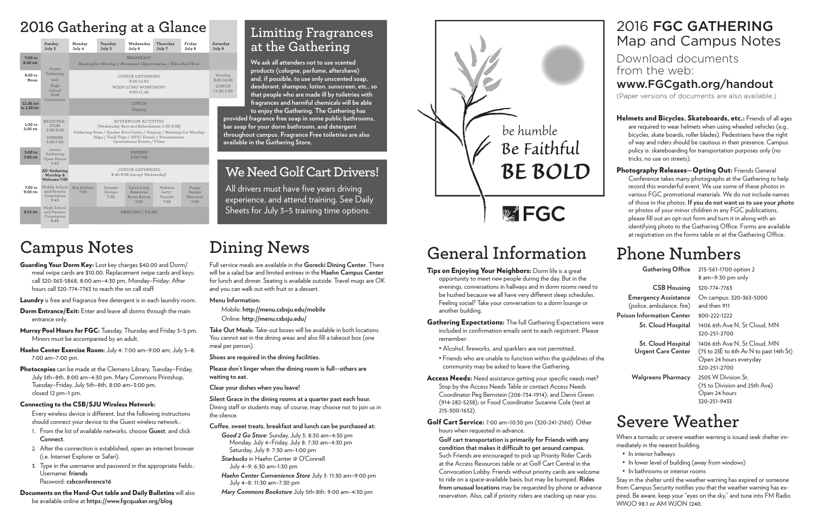## **Campus Notes**

Guarding Your Dorm Key: Lost key charges \$40.00 and Dorm/ meal swipe cards are \$10.00. Replacement swipe cards and keys: call 320-363-5868, 8:00 am–4:30 pm, Monday–Friday; After hours call 320-774-7763 to reach the on call staff.

Laundry is free and fragrance free detergent is in each laundry room.

- **Dorm Entrance/Exit:** Enter and leave all dorms through the main entrance only.
- Murray Pool Hours for FGC: Tuesday, Thursday and Friday 3-5 pm. Minors must be accompanied by an adult.
- Haehn Center Exercise Room: July 4: 7:00 am-9:00 am; July 5-8: 7:00 am–7:00 pm.
- Photocopies can be made at the Clemens Library, Tuesday-Friday, July 5th–8th, 8:00 am–4:30 pm. Mary Commons Printshop, Tuesday–Friday, July 5th–8th, 8:00 am–3:00 pm, closed 12 pm–1 pm.

#### Connecting to the CSB/SJU Wireless Network:

Every wireless device is diferent, but the following instructions should connect your device to the Guest wireless network.:

- 1. From the list of available networks, choose **Guest**, and click **Connect**.
- 2. After the connection is established, open an internet browser (i.e. Internet Explorer or Safari).
- 3. Type in the username and password in the appropriate fields.: Username: **friends** Password: **csbconference16**

Documents on the Hand-Out table and Daily Bulletins will also be available online at **https://www.fgcquaker.org/blog**

## **Dining News**

Full service meals are available in the **Gorecki Dining Center**. There will be a salad bar and limited entrees in the **Haehn Campus Center** for lunch and dinner. Seating is available outside. Travel mugs are OK and you can walk out with fruit or a dessert.

#### Tips on Enjoying Your Neighbors: Dorm life is a great opportunity to meet new people during the day. But in the evenings, conversations in hallways and in dorm rooms need to be hushed because we all have very diferent sleep schedules. Feeling social? Take your conversation to a dorm lounge or

#### **Menu Information:**

Mobile: **http://menu.csbsju.edu/mobile** Online: **http://menu.csbsju.edu/**

**Take Out Meals:** Take-out boxes will be available in both locations. You cannot eat in the dining areas and also fill a takeout box (one meal per person).

**Shoes are required in the dining facilities.**

**Please don't linger when the dining room is full—others are waiting to eat.**

**Clear your dishes when you leave!**

**Silent Grace in the dining rooms at a quarter past each hour.**  Dining staff or students may, of course, may choose not to join us in the silence.

All drivers must have five years driving experience, and attend training. See Daily Sheets for July 3-5 training time options.

#### **Cofee, sweet treats, breakfast and lunch can be purchased at:**

*Good 2 Go Store*: Sunday, July 3: 8:30 am–4:30 pm Monday, July 4–Friday, July 8: 7:30 am–4:30 pm Saturday, July 9: 7:30 am–1:00 pm

- *Starbucks* in Haehn Center @ O'Connell July 4–9: 6:30 am–1:30 pm
- *Haehn Center Convenience Store* July 3: 11:30 am–9:00 pm July 4–8: 11:30 am–7:30 pm

*Mary Commons Bookstore* July 5th-8th: 9:00 am–4:30 pm



Download documents from the web:

www.FGCgath.org/handout

Helmets and Bicycles, Skateboards, etc.: Friends of all ages are required to wear helmets when using wheeled vehicles (e.g., bicycles, skate boards, roller blades). Pedestrians have the right of way and riders should be cautious in their presence. Campus policy is: skateboarding for transportation purposes only (no tricks, no use on streets).

Photography Releases-Opting Out: Friends General Conference takes many photographs at the Gathering to help record this wonderful event. We use some of these photos in various FGC promotional materials. We do not include names of those in the photos. **If you do not want us to use your photo** or photos of your minor children in any FGC publications, please fill out an opt-out form and turn it in along with an identifying photo to the Gathering Office. Forms are available at registration on the forms table or at the Gathering Office.

(Paper versions of documents are also available.)

## 2016 FGC GATHERING Map and Campus Notes

# **General Information**

another building.

- Gathering Expectations: The full Gathering Expectations were included in confirmation emails sent to each registrant. Please remember:
	- Alcohol, fireworks, and sparklers are not permitted.
	- Friends who are unable to function within the guidelines of the community may be asked to leave the Gathering.
- Access Needs: Need assistance getting your specific needs met? Stop by the Access Needs Table or contact Access Needs Coordinator Peg Bernstein (206-734-1914); and Danni Green (914-282-5238); or Food Coordinator Suzanne Cole (text at 215-300-1652).
- Golf Cart Service: 7:00 am–10:30 pm (320-241-2160). Other hours when requested in advance.

**Golf cart transportation is primarily for Friends with any condition that makes it difcult to get around campus.**  Such Friends are encouraged to pick up Priority Rider Cards at the Access Resources table or at Golf Cart Central in the Convocation Lobby. Friends without priority cards are welcome to ride on a space-available basis, but may be bumped. **Rides from unusual locations** may be requested by phone or advance reservation. Also, call if priority riders are stacking up near you.

### **We Need Golf Cart Drivers!**

### **Limiting Fragrances at the Gathering**

**We ask all attenders not to use scented products (cologne, perfume, aftershave) and, if possible, to use only unscented soap, deodorant, shampoo, lotion, sunscreen, etc., so that people who are made ill by toiletries with fragrances and harmful chemicals will be able to enjoy the Gathering. The Gathering has** 

**provided fragrance free soap in some public bathrooms, bar soap for your dorm bathroom, and detergent throughout campus. Fragrance Free toiletries are also available in the Gathering Store.**

# **Phone Numbers**

| <b>Gathering Office</b>                                  | 215-561-1700 option 2<br>$8$ am-9:30 pm only                                                                      |
|----------------------------------------------------------|-------------------------------------------------------------------------------------------------------------------|
| <b>CSB Housing</b>                                       | 320-774-7763                                                                                                      |
| <b>Emergency Assistance</b><br>(police, ambulance, fire) | On campus: 320-363-5000<br>and then 911                                                                           |
| Poison Information Center                                | 800-222-1222                                                                                                      |
| <b>St. Cloud Hospital</b>                                | 1406 6th Ave N. St Cloud. MN<br>320-251-2700                                                                      |
| <b>St. Cloud Hospital</b><br><b>Urgent Care Center</b>   | 1406 6th Ave N, St Cloud. MN<br>(75 to 23E to 6th Av N to past 14th St)<br>Open 24 hours everyday<br>320-251-2700 |
| <b>Walgreens Pharmacy</b>                                | 2505 W Division St.<br>(75 to Division and 25th Ave)<br>Open 24 hours                                             |

320-251-9433

## **Severe Weather**

When a tornado or severe weather warning is issued seek shelter immediately in the nearest building.

- In interior hallways
- In lower level of building (away from windows)
- In bathrooms or interior rooms
- Stay in the shelter until the weather warning has expired or someone from Campus Security notifies you that the weather warning has expired. Be aware, keep your "eyes on the sky," and tune into FM Radio WWJO 98.1 or AM WJON 1240.

## **2016 Gathering at a Glance**

|                        | Sunday<br>July 3                                                     | Monday<br>July 4                                                                                                          | Tuesday<br>July 5          | Wednesday<br>July 6                           | Thursday<br>July 7                | Friday<br>July 8                    | Saturday<br>July 9                                |  |
|------------------------|----------------------------------------------------------------------|---------------------------------------------------------------------------------------------------------------------------|----------------------------|-----------------------------------------------|-----------------------------------|-------------------------------------|---------------------------------------------------|--|
| $7:00$ to<br>8:30 AM   | Junior                                                               | Meeting for Worship / Movement Opportunities / Bible Half Hour                                                            |                            |                                               |                                   |                                     |                                                   |  |
| 8:30 to<br>Noon        | Gathering<br>and<br>High<br>School<br>Staff                          | <b>JUNIOR GATHERING</b><br>8:45-12:00<br>WEEK-LONG WORKSHOPS<br>$9:00 - 11:45$                                            |                            |                                               |                                   |                                     | Worship<br>$9:00 - 10:00$<br>LUNCH.<br>11:00-1:00 |  |
| 11:30 AM<br>to 1:30 PM | Orientation                                                          |                                                                                                                           |                            |                                               |                                   |                                     |                                                   |  |
| $1:30$ to<br>5:30 PM   | REGISTRA-<br>TION<br>$1:00 - 9:00$<br><b>DINNER</b><br>$5:00 - 7:00$ | Gathering Store / Quaker Arts Center / Singing / Meetings for Worship<br>Naps / Field Trips / AFSC Events / Presentations | pro<br>bar<br>thr<br>ava   |                                               |                                   |                                     |                                                   |  |
| $5:00$ to<br>7:00 PM   | Junior<br>Gathering<br>Open House<br>5:45                            | <b>DINNER</b><br>$5:00 - 7:00$                                                                                            |                            |                                               |                                   |                                     |                                                   |  |
|                        | All-Gathering<br>Worship &<br>Welcome 7:00                           | JUNIOR GATHERING<br>6:45-9:00 (except Wednesday)                                                                          |                            |                                               |                                   |                                     |                                                   |  |
| $7:00$ to<br>9:00 PM   | Middle School<br>and Parents<br>Orientation<br>8:45                  | Rex Ambler<br>7:00                                                                                                        | Interest<br>Groups<br>7:00 | Larry Long<br>American<br>Roots Revue<br>7:00 | Nekima<br>Levy-<br>Pounds<br>7:00 | Peggy<br>Senger<br>Morrison<br>7:00 | ex                                                |  |
| $9:15$ <sub>PM</sub>   | High School<br>and Parents<br>Orientation<br>8:45                    | DANCING / FILMS                                                                                                           |                            |                                               |                                   |                                     |                                                   |  |